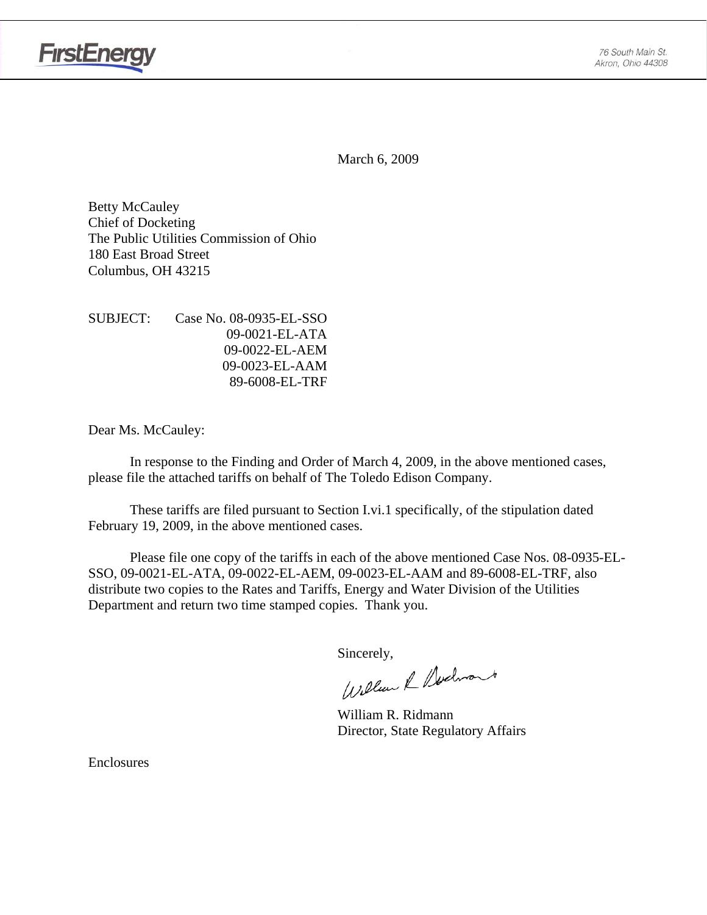

**FirstEnergy** 

March 6, 2009

Betty McCauley Chief of Docketing The Public Utilities Commission of Ohio 180 East Broad Street Columbus, OH 43215

| SUBJECT: | Case No. 08-0935-EL-SSO |
|----------|-------------------------|
|          | 09-0021-EL-ATA          |
|          | 09-0022-EL-AEM          |
|          | 09-0023-EL-AAM          |
|          | 89-6008-EL-TRF          |

Dear Ms. McCauley:

 In response to the Finding and Order of March 4, 2009, in the above mentioned cases, please file the attached tariffs on behalf of The Toledo Edison Company.

These tariffs are filed pursuant to Section I.vi.1 specifically, of the stipulation dated February 19, 2009, in the above mentioned cases.

Please file one copy of the tariffs in each of the above mentioned Case Nos. 08-0935-EL-SSO, 09-0021-EL-ATA, 09-0022-EL-AEM, 09-0023-EL-AAM and 89-6008-EL-TRF, also distribute two copies to the Rates and Tariffs, Energy and Water Division of the Utilities Department and return two time stamped copies. Thank you.

Sincerely,<br>William & Nechnant

 William R. Ridmann Director, State Regulatory Affairs

Enclosures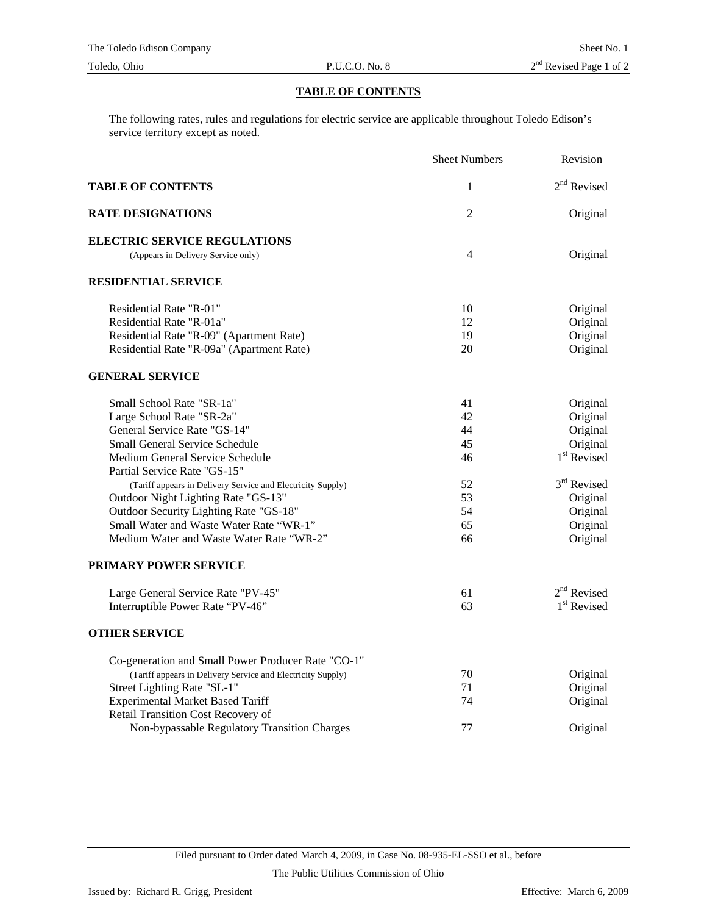## **TABLE OF CONTENTS**

The following rates, rules and regulations for electric service are applicable throughout Toledo Edison's service territory except as noted.

|                                                             | <b>Sheet Numbers</b> | Revision                |
|-------------------------------------------------------------|----------------------|-------------------------|
| <b>TABLE OF CONTENTS</b>                                    | 1                    | $2^{\rm nd}$ Revised    |
| <b>RATE DESIGNATIONS</b>                                    | 2                    | Original                |
| <b>ELECTRIC SERVICE REGULATIONS</b>                         |                      |                         |
| (Appears in Delivery Service only)                          | 4                    | Original                |
| <b>RESIDENTIAL SERVICE</b>                                  |                      |                         |
| Residential Rate "R-01"                                     | 10                   | Original                |
| Residential Rate "R-01a"                                    | 12                   | Original                |
| Residential Rate "R-09" (Apartment Rate)                    | 19                   | Original                |
| Residential Rate "R-09a" (Apartment Rate)                   | 20                   | Original                |
| <b>GENERAL SERVICE</b>                                      |                      |                         |
| Small School Rate "SR-1a"                                   | 41                   | Original                |
| Large School Rate "SR-2a"                                   | 42                   | Original                |
| General Service Rate "GS-14"                                | 44                   | Original                |
| <b>Small General Service Schedule</b>                       | 45                   | Original                |
| Medium General Service Schedule                             | 46                   | 1 <sup>st</sup> Revised |
| Partial Service Rate "GS-15"                                |                      |                         |
| (Tariff appears in Delivery Service and Electricity Supply) | 52                   | 3rd Revised             |
| Outdoor Night Lighting Rate "GS-13"                         | 53                   | Original                |
| Outdoor Security Lighting Rate "GS-18"                      | 54                   | Original                |
| Small Water and Waste Water Rate "WR-1"                     | 65                   | Original                |
| Medium Water and Waste Water Rate "WR-2"                    | 66                   | Original                |
| PRIMARY POWER SERVICE                                       |                      |                         |
| Large General Service Rate "PV-45"                          | 61                   | $2nd$ Revised           |
| Interruptible Power Rate "PV-46"                            | 63                   | 1 <sup>st</sup> Revised |
| <b>OTHER SERVICE</b>                                        |                      |                         |
| Co-generation and Small Power Producer Rate "CO-1"          |                      |                         |
| (Tariff appears in Delivery Service and Electricity Supply) | 70                   | Original                |
| Street Lighting Rate "SL-1"                                 | 71                   | Original                |
| <b>Experimental Market Based Tariff</b>                     | 74                   | Original                |
| Retail Transition Cost Recovery of                          |                      |                         |
| Non-bypassable Regulatory Transition Charges                | 77                   | Original                |

Filed pursuant to Order dated March 4, 2009, in Case No. 08-935-EL-SSO et al., before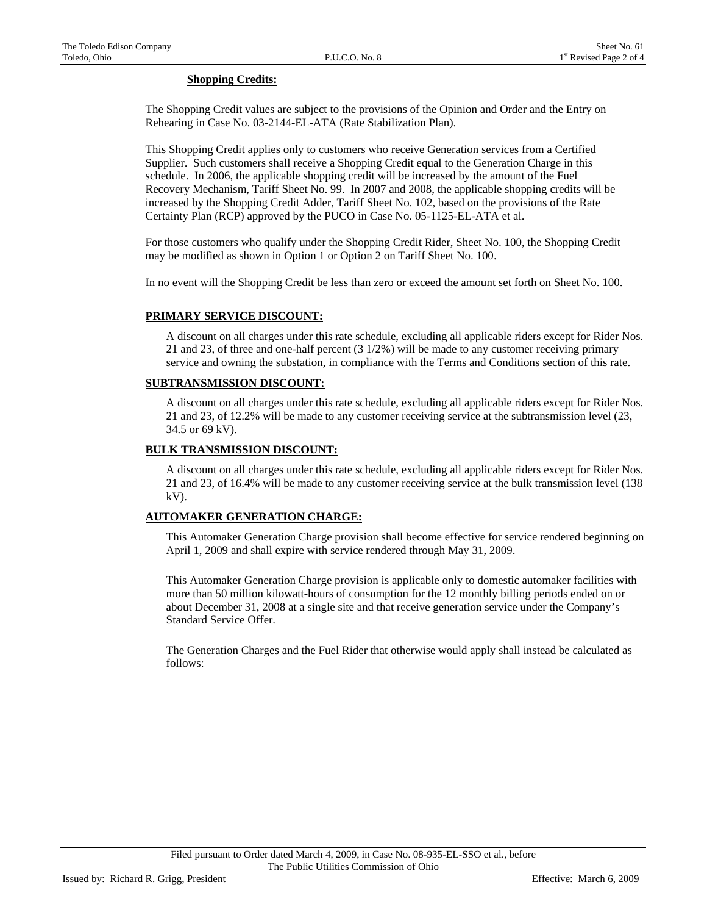## **Shopping Credits:**

The Shopping Credit values are subject to the provisions of the Opinion and Order and the Entry on Rehearing in Case No. 03-2144-EL-ATA (Rate Stabilization Plan).

This Shopping Credit applies only to customers who receive Generation services from a Certified Supplier. Such customers shall receive a Shopping Credit equal to the Generation Charge in this schedule. In 2006, the applicable shopping credit will be increased by the amount of the Fuel Recovery Mechanism, Tariff Sheet No. 99. In 2007 and 2008, the applicable shopping credits will be increased by the Shopping Credit Adder, Tariff Sheet No. 102, based on the provisions of the Rate Certainty Plan (RCP) approved by the PUCO in Case No. 05-1125-EL-ATA et al.

For those customers who qualify under the Shopping Credit Rider, Sheet No. 100, the Shopping Credit may be modified as shown in Option 1 or Option 2 on Tariff Sheet No. 100.

In no event will the Shopping Credit be less than zero or exceed the amount set forth on Sheet No. 100.

#### **PRIMARY SERVICE DISCOUNT:**

 A discount on all charges under this rate schedule, excluding all applicable riders except for Rider Nos. 21 and 23, of three and one-half percent (3 1/2%) will be made to any customer receiving primary service and owning the substation, in compliance with the Terms and Conditions section of this rate.

## **SUBTRANSMISSION DISCOUNT:**

 A discount on all charges under this rate schedule, excluding all applicable riders except for Rider Nos. 21 and 23, of 12.2% will be made to any customer receiving service at the subtransmission level (23, 34.5 or 69 kV).

#### **BULK TRANSMISSION DISCOUNT:**

 A discount on all charges under this rate schedule, excluding all applicable riders except for Rider Nos. 21 and 23, of 16.4% will be made to any customer receiving service at the bulk transmission level (138  $kV$ ).

## **AUTOMAKER GENERATION CHARGE:**

 This Automaker Generation Charge provision shall become effective for service rendered beginning on April 1, 2009 and shall expire with service rendered through May 31, 2009.

 This Automaker Generation Charge provision is applicable only to domestic automaker facilities with more than 50 million kilowatt-hours of consumption for the 12 monthly billing periods ended on or about December 31, 2008 at a single site and that receive generation service under the Company's Standard Service Offer.

 The Generation Charges and the Fuel Rider that otherwise would apply shall instead be calculated as follows: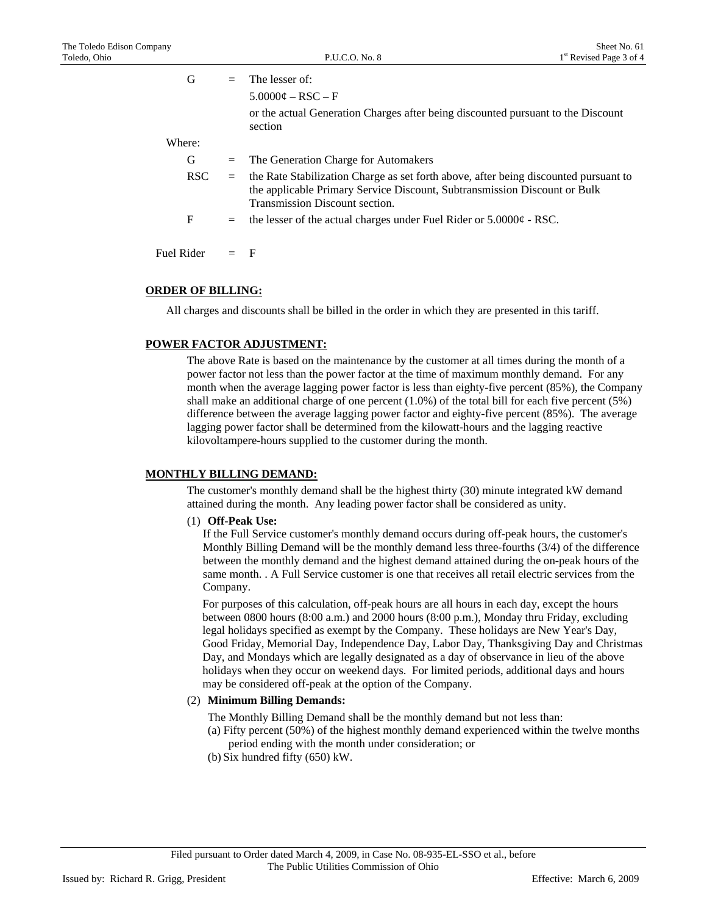| G          | $=$ | The lesser of:                                                                                                                                                                                      |
|------------|-----|-----------------------------------------------------------------------------------------------------------------------------------------------------------------------------------------------------|
|            |     | $5.0000\phi - RSC - F$                                                                                                                                                                              |
|            |     | or the actual Generation Charges after being discounted pursuant to the Discount<br>section                                                                                                         |
| Where:     |     |                                                                                                                                                                                                     |
| G          | $=$ | The Generation Charge for Automakers                                                                                                                                                                |
| <b>RSC</b> | $=$ | the Rate Stabilization Charge as set forth above, after being discounted pursuant to<br>the applicable Primary Service Discount, Subtransmission Discount or Bulk<br>Transmission Discount section. |
| F          | $=$ | the lesser of the actual charges under Fuel Rider or $5.0000\phi$ - RSC.                                                                                                                            |
| Fuel Rider |     | F                                                                                                                                                                                                   |

## **ORDER OF BILLING:**

All charges and discounts shall be billed in the order in which they are presented in this tariff.

#### **POWER FACTOR ADJUSTMENT:**

 The above Rate is based on the maintenance by the customer at all times during the month of a power factor not less than the power factor at the time of maximum monthly demand. For any month when the average lagging power factor is less than eighty-five percent (85%), the Company shall make an additional charge of one percent (1.0%) of the total bill for each five percent (5%) difference between the average lagging power factor and eighty-five percent (85%). The average lagging power factor shall be determined from the kilowatt-hours and the lagging reactive kilovoltampere-hours supplied to the customer during the month.

#### **MONTHLY BILLING DEMAND:**

 The customer's monthly demand shall be the highest thirty (30) minute integrated kW demand attained during the month. Any leading power factor shall be considered as unity.

(1) **Off-Peak Use:**

If the Full Service customer's monthly demand occurs during off-peak hours, the customer's Monthly Billing Demand will be the monthly demand less three-fourths (3/4) of the difference between the monthly demand and the highest demand attained during the on-peak hours of the same month. . A Full Service customer is one that receives all retail electric services from the Company.

 For purposes of this calculation, off-peak hours are all hours in each day, except the hours between 0800 hours (8:00 a.m.) and 2000 hours (8:00 p.m.), Monday thru Friday, excluding legal holidays specified as exempt by the Company. These holidays are New Year's Day, Good Friday, Memorial Day, Independence Day, Labor Day, Thanksgiving Day and Christmas Day, and Mondays which are legally designated as a day of observance in lieu of the above holidays when they occur on weekend days. For limited periods, additional days and hours may be considered off-peak at the option of the Company.

#### (2) **Minimum Billing Demands:**

The Monthly Billing Demand shall be the monthly demand but not less than:

- (a) Fifty percent (50%) of the highest monthly demand experienced within the twelve months period ending with the month under consideration; or
- (b) Six hundred fifty (650) kW.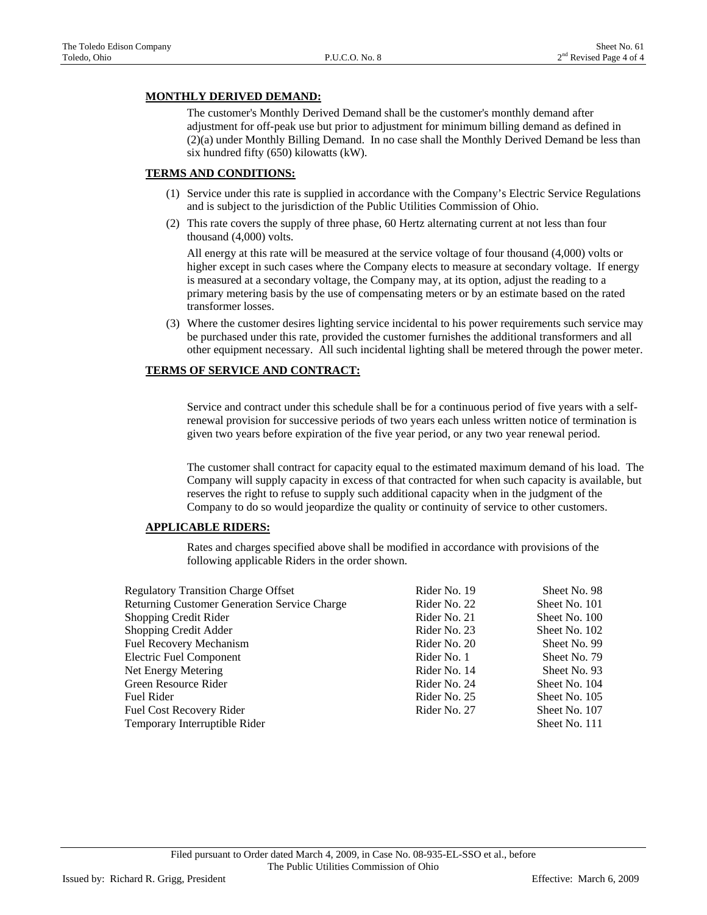## **MONTHLY DERIVED DEMAND:**

 The customer's Monthly Derived Demand shall be the customer's monthly demand after adjustment for off-peak use but prior to adjustment for minimum billing demand as defined in (2)(a) under Monthly Billing Demand. In no case shall the Monthly Derived Demand be less than six hundred fifty (650) kilowatts (kW).

## **TERMS AND CONDITIONS:**

- (1) Service under this rate is supplied in accordance with the Company's Electric Service Regulations and is subject to the jurisdiction of the Public Utilities Commission of Ohio.
- (2) This rate covers the supply of three phase, 60 Hertz alternating current at not less than four thousand (4,000) volts.

 All energy at this rate will be measured at the service voltage of four thousand (4,000) volts or higher except in such cases where the Company elects to measure at secondary voltage. If energy is measured at a secondary voltage, the Company may, at its option, adjust the reading to a primary metering basis by the use of compensating meters or by an estimate based on the rated transformer losses.

 (3) Where the customer desires lighting service incidental to his power requirements such service may be purchased under this rate, provided the customer furnishes the additional transformers and all other equipment necessary. All such incidental lighting shall be metered through the power meter.

## **TERMS OF SERVICE AND CONTRACT:**

 Service and contract under this schedule shall be for a continuous period of five years with a selfrenewal provision for successive periods of two years each unless written notice of termination is given two years before expiration of the five year period, or any two year renewal period.

 The customer shall contract for capacity equal to the estimated maximum demand of his load. The Company will supply capacity in excess of that contracted for when such capacity is available, but reserves the right to refuse to supply such additional capacity when in the judgment of the Company to do so would jeopardize the quality or continuity of service to other customers.

## **APPLICABLE RIDERS:**

Rates and charges specified above shall be modified in accordance with provisions of the following applicable Riders in the order shown.

| <b>Regulatory Transition Charge Offset</b>   | Rider No. 19 | Sheet No. 98  |
|----------------------------------------------|--------------|---------------|
| Returning Customer Generation Service Charge | Rider No. 22 | Sheet No. 101 |
| Shopping Credit Rider                        | Rider No. 21 | Sheet No. 100 |
| Shopping Credit Adder                        | Rider No. 23 | Sheet No. 102 |
| Fuel Recovery Mechanism                      | Rider No. 20 | Sheet No. 99  |
| <b>Electric Fuel Component</b>               | Rider No. 1  | Sheet No. 79  |
| Net Energy Metering                          | Rider No. 14 | Sheet No. 93  |
| Green Resource Rider                         | Rider No. 24 | Sheet No. 104 |
| <b>Fuel Rider</b>                            | Rider No. 25 | Sheet No. 105 |
| Fuel Cost Recovery Rider                     | Rider No. 27 | Sheet No. 107 |
| Temporary Interruptible Rider                |              | Sheet No. 111 |